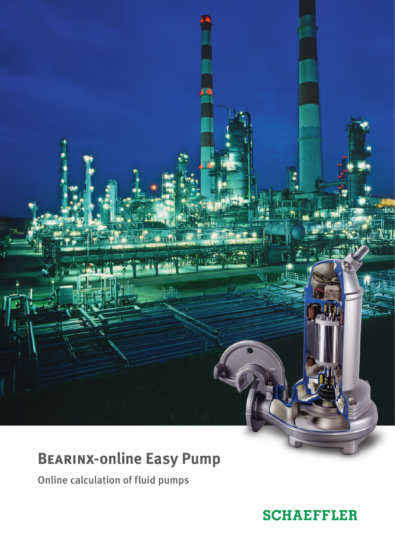# **Bearinx-online Easy Pump**

Online calculation of fluid pumps

## **SCHAEFFLER**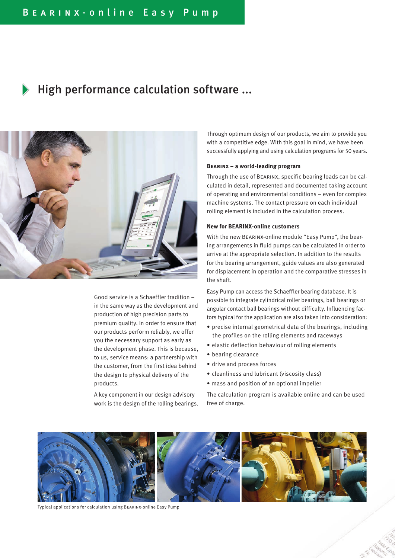### High performance calculation software ...



Good service is a Schaeffler tradition – in the same way as the development and production of high precision parts to premium quality. In order to ensure that our products perform reliably, we offer you the necessary support as early as the development phase. This is because, to us, service means: a partnership with the customer, from the first idea behind the design to physical delivery of the products.

A key component in our design advisory work is the design of the rolling bearings. Through optimum design of our products, we aim to provide you with a competitive edge. With this goal in mind, we have been successfully applying and using calculation programs for 50 years.

#### **Bearinx – a world-leading program**

Through the use of Bearinx, specific bearing loads can be calculated in detail, represented and documented taking account of operating and environmental conditions – even for complex machine systems. The contact pressure on each individual rolling element is included in the calculation process.

#### **New for BEARINX-online customers**

With the new Bearinx-online module "Easy Pump", the bearing arrangements in fluid pumps can be calculated in order to arrive at the appropriate selection. In addition to the results for the bearing arrangement, guide values are also generated for displacement in operation and the comparative stresses in the shaft.

Easy Pump can access the Schaeffler bearing database. It is possible to integrate cylindrical roller bearings, ball bearings or angular contact ball bearings without difficulty. Influencing factors typical for the application are also taken into consideration:

- precise internal geometrical data of the bearings, including the profiles on the rolling elements and raceways
- elastic deflection behaviour of rolling elements
- bearing clearance
- drive and process forces
- cleanliness and lubricant (viscosity class)
- mass and position of an optional impeller

The calculation program is available online and can be used free of charge.



Typical applications for calculation using Bearinx-online Easy Pump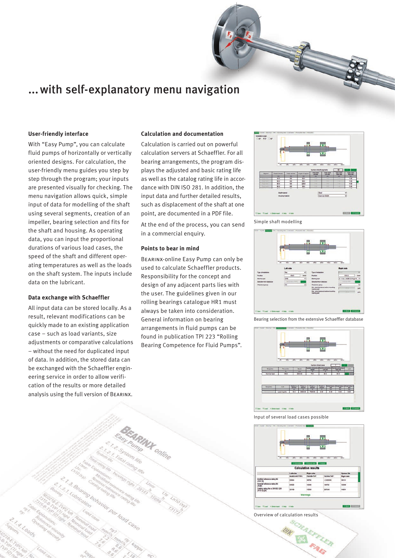## ...with self-explanatory menu navigation

#### **User-friendly interface**

With "Easy Pump", you can calculate fluid pumps of horizontally or vertically oriented designs. For calculation, the user-friendly menu guides you step by step through the program; your inputs are presented visually for checking. The menu navigation allows quick, simple input of data for modelling of the shaft using several segments, creation of an impeller, bearing selection and fits for the shaft and housing. As operating data, you can input the proportional durations of various load cases, the speed of the shaft and different operating temperatures as well as the loads on the shaft system. The inputs include data on the lubricant.

#### **Data exchange with Schaeffler**

All input data can be stored locally. As a result, relevant modifications can be quickly made to an existing application case – such as load variants, size adjustments or comparative calculations – without the need for duplicated input of data. In addition, the stored data can be exchanged with the Schaeffler engineering service in order to allow verification of the results or more detailed analysis using the full version of Bearinx.

#### **Calculation and documentation**

Calculation is carried out on powerful calculation servers at Schaeffler. For all bearing arrangements, the program displays the adjusted and basic rating life as well as the catalog rating life in accordance with DIN ISO 281. In addition, the input data and further detailed results, such as displacement of the shaft at one point, are documented in a PDF file.

At the end of the process, you can send in a commercial enquiry.

#### **Points to bear in mind**

Bearinx-online Easy Pump can only be used to calculate Schaeffler products. Responsibility for the concept and design of any adjacent parts lies with the user. The guidelines given in our rolling bearings catalogue HR1 must always be taken into consideration. General information on bearing arrangements in fluid pumps can be found in publication TPI 223 "Rolling Bearing Competence for Fluid Pumps".



Simple shaft modelling



Bearing selection from the extensive Schaeffler database



#### Input of several load cases possible



Overview of calculation results

LUR